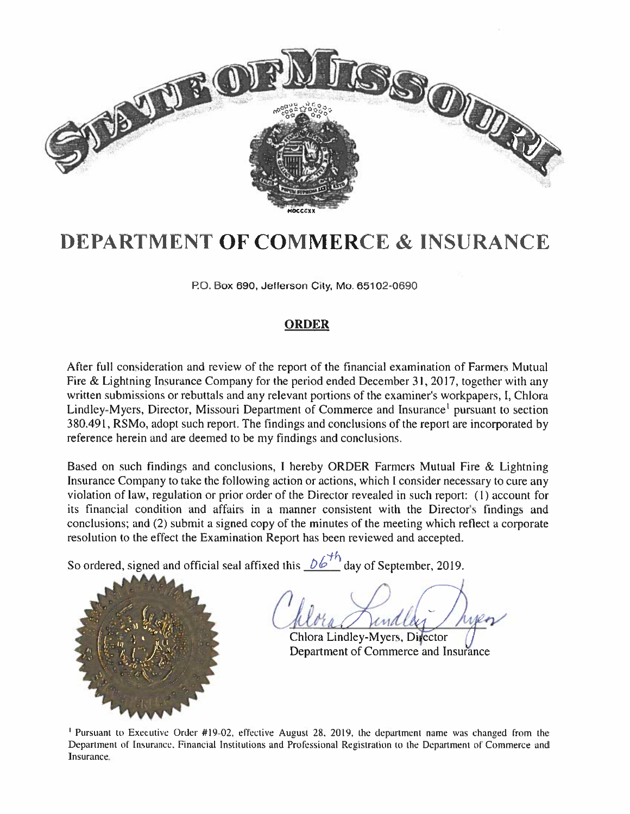

# DEPARTMENT OF COMMERCE & INSURANCE

P.O. Box 690, Jefferson City, Mo. 65102-0690

### ORDER

After full consideration and review of the repor<sup>t</sup> of the financial examination of Farmers Mutual Fire & Lightning Insurance Company for the period ended December 31, 2017, together with any written submissions or rebuttals and any relevant portions of the examiner's workpapers, I, Chlora Lindley-Mycrs, Director, Missouri Department of Commerce and Insurance' pursuan<sup>t</sup> to section 380.491, RSMo, adopt such report. The findings and conclusions of the repor<sup>t</sup> are incorporated hy reference herein and are deemed to he my findings and conclusions.

Based on such findings and conclusions, I hereby ORDER Farmers Mutual Fire & Lightning Insurance Company to take the following action or actions, which I consider necessary to cure any violation of law, regulation or prior order of the Director revealed in such report: (1) account for its financial condition and affairs in a manner consistent with the Director's findings and conclusions; and (2) submit <sup>a</sup> signed copy of the minutes of the meeting which reflect <sup>a</sup> corporate resolution to the effect the Examination Report has been reviewed and accepted.

So ordered, signed and official seal affixed this  $\sqrt{2}$  day of September, 2019



 $\cap$ /- / unally

Chlora Lindley-Myers, Divector ( Department of Commerce and Insurance

Pursuant to Executive Order #19-02. effective August 28. 2019. the department name was changed from the Department of Insurance. Financial Institutions and Professional Registration to the Department of Commerce and Insurance.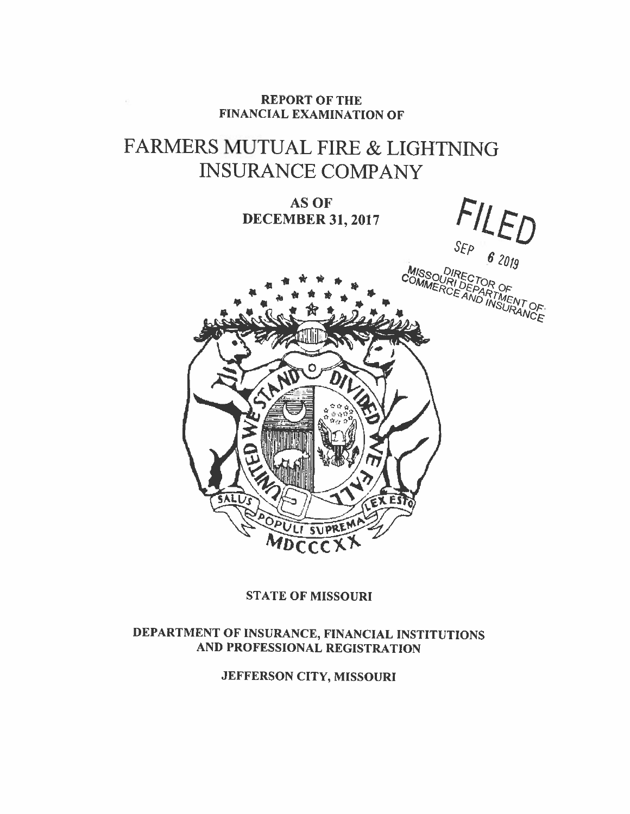### REPORT OF THE FINANCIAL EXAMINATION OF

 $\overline{\mathbb{C}}$ 

# FARMERS MUTUAL FIRE & LIGHTNING INSURANCE COMPANY

**AS OF** DECEMBER 31, 2017



## STATE OF MISSOURI

## DEPARTMENT OF INSURANCE, FINANCIAL INSTITUTIONS AND PROFESSIONAL REGISTRATION

JEFFERSON CITY, MISSOURI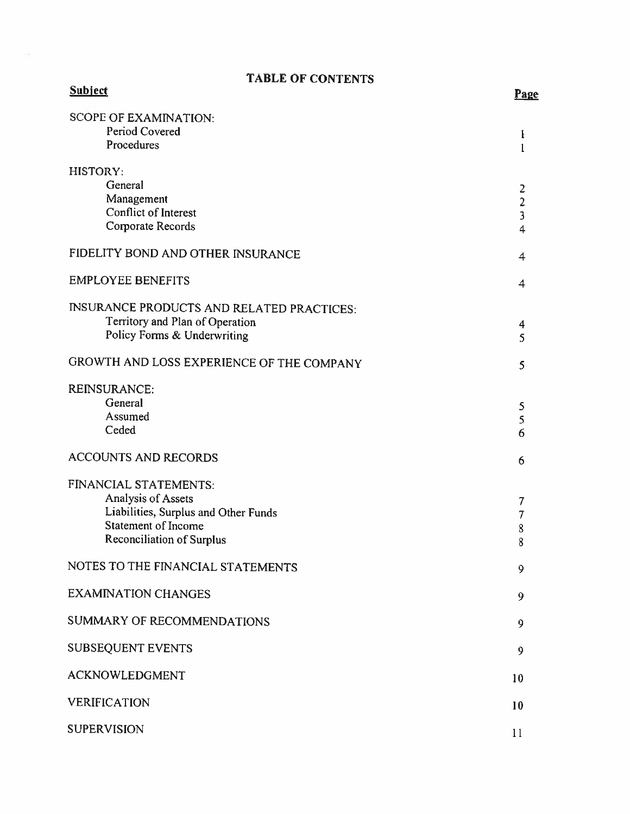# TABLE OF CONTENTS

ä,

| <b>Subject</b>                                   | Pas                     |
|--------------------------------------------------|-------------------------|
| <b>SCOPE OF EXAMINATION:</b>                     |                         |
| Period Covered                                   | $\mathbf{I}$            |
| Procedures                                       | $\mathbf{1}$            |
| HISTORY:                                         |                         |
| General                                          | 2                       |
| Management                                       | $\frac{2}{3}$           |
| <b>Conflict of Interest</b>                      |                         |
| Corporate Records                                | $\overline{\mathbf{4}}$ |
| FIDELITY BOND AND OTHER INSURANCE                | $\overline{\mathbf{4}}$ |
| <b>EMPLOYEE BENEFITS</b>                         | 4                       |
| <b>INSURANCE PRODUCTS AND RELATED PRACTICES:</b> |                         |
| Territory and Plan of Operation                  | 4                       |
| Policy Forms & Underwriting                      | 5                       |
| GROWTH AND LOSS EXPERIENCE OF THE COMPANY        | 5                       |
| <b>REINSURANCE:</b>                              |                         |
| General                                          | 5                       |
| Assumed                                          | 5                       |
| Ceded                                            | 6                       |
| <b>ACCOUNTS AND RECORDS</b>                      | 6                       |
| FINANCIAL STATEMENTS:                            |                         |
| Analysis of Assets                               | 7                       |
| Liabilities, Surplus and Other Funds             | $\overline{7}$          |
| Statement of Income                              | 8                       |
| <b>Reconciliation of Surplus</b>                 | 8                       |
| NOTES TO THE FINANCIAL STATEMENTS                | 9                       |
| <b>EXAMINATION CHANGES</b>                       | 9                       |
| <b>SUMMARY OF RECOMMENDATIONS</b>                | 9                       |
| <b>SUBSEQUENT EVENTS</b>                         | 9                       |
| <b>ACKNOWLEDGMENT</b>                            | 10                      |
| <b>VERIFICATION</b>                              | 10                      |
| <b>SUPERVISION</b>                               | 11                      |

ge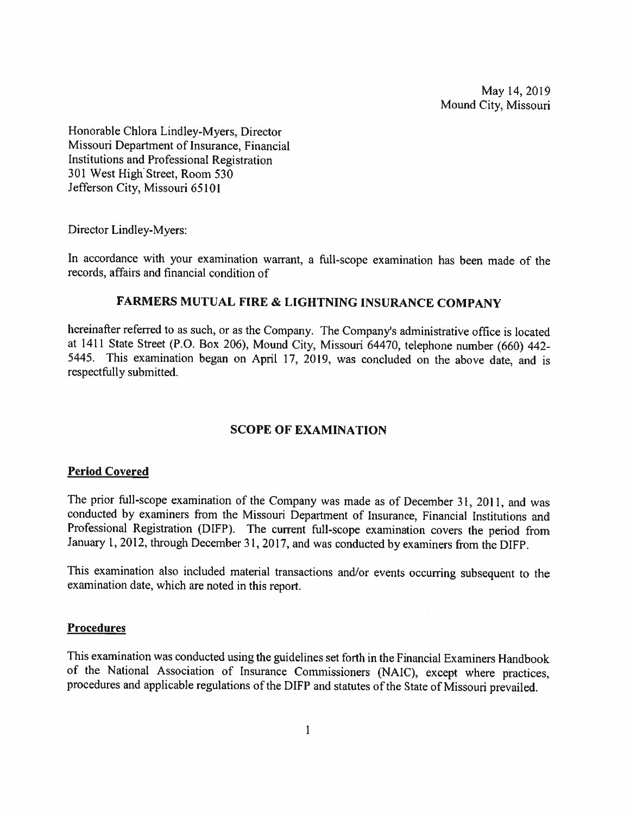May 14, 2019 Mound City, Missouri

Honorable Chiora Lindiey-Myers, Director Missouri Department of Insurance. Financial Institutions and Professional Registration 301 West High Street, Room 530 Jefferson City, Missouri 65101

Director Lindley-Myers:

In accordance with your examination warrant, a full-scope examination has been made of the records. affairs and financial condition of

### FARMERS MUTUAL FIRE & LIGHTNING INSURANCE COMPANY

hereinafter referred to as such, or as the Company. The Company's administrative office is located at <sup>1411</sup> State Street (P.O. Box 206), Mound City, Missouri 64470, telephone number (660) 442- 5445. This examination began on April 17, 2019. was concluded on thc above date, and is respectfully submitted.

### SCOPE OF EXAMINATION

### Period Covered

The prior full-scope examination of the Company was made as of December 31, 2011, and was conducted by examiners from the Missouri Department of Insurance, Financial Institutions and Professional Registration (DIFP). The current full-scope examination covers the period from January 1, 2012, through December 31, 2017, and was conducted by examiners from the DIFP.

This examination also included material transactions and/or events occurring subsequent to the examination date, which are noted in this report.

### **Procedures**

This examination was conducted using the guidelines set forth in the Financial Examiners Handbook of the National Association of Insurance Commissioners (NAIC). except where practices. procedures and applicable regulations of the DIFP and statutes of the State of Missouri prevailed.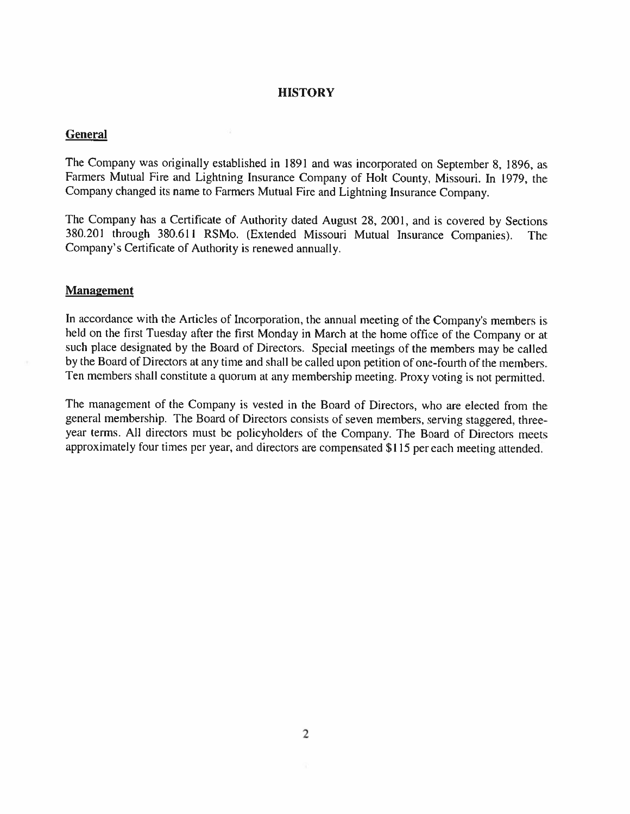### **HISTORY**

#### **General**

The Company was originally established in <sup>1891</sup> and was incorporated on September 8, 1896, as Farmers Mutual Fire and Lightning Insurance Company of Bolt County, Missouri. In 1979, the Company changed its name to Farmers Mutual Fire and Lightning Insurance Company.

The Company has <sup>a</sup> Certificate of Authority dated August 28. 2001. and is covered by Sections 380.20 <sup>I</sup> through 380.611 RSMo. (Extended Missouri Mutual Insurance Companies). The Company's Certificate of Authority is renewed annually.

#### **Management**

In accordance with the Articles of Incorporation, the annual meeting of the Company's members is held on the first Tuesday after the first Monday in March at the home office of the Company or at such <sup>p</sup>lace designated by the Board of Directors. Special meetings of the members may he called by the Board of Directors at any time and shall be called upon petition of one-fourth of the members. Ten members shall constitute a quorum at any membership meeting. Proxy voting is not permitted.

The management of the Company is vested in the Board of Directors, who are elected from the general membership. The Board of Directors consists of seven members, serving staggered, three year terms. All directors must be policyholders of the Company. The Board of Directors mects approximately four times per year, and directors are compensated \$115 per each meeting attended.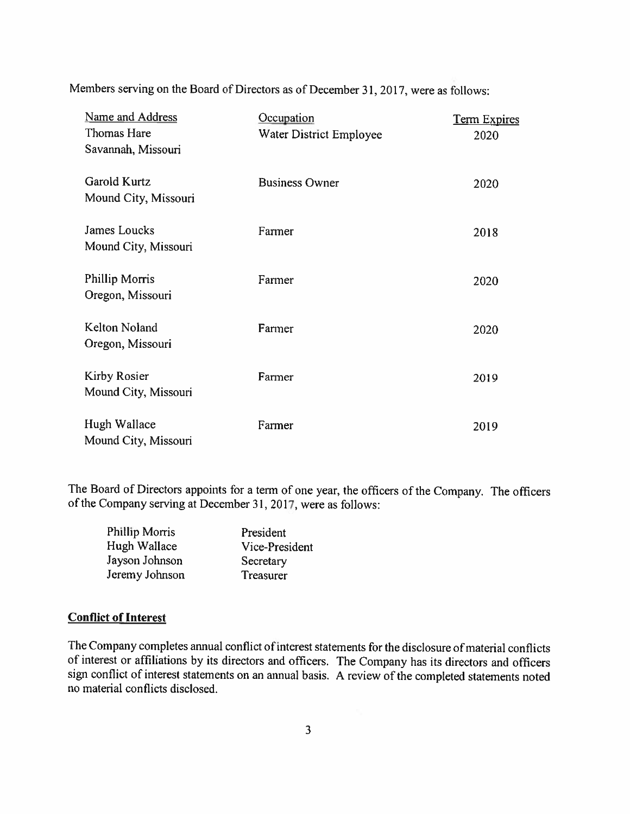Members serving on the Board of Directors as of December 31, 2017, were as follows:

| Name and Address<br>Thomas Hare<br>Savannah, Missouri | Occupation<br>Water District Employee | <b>Term Expires</b><br>2020 |
|-------------------------------------------------------|---------------------------------------|-----------------------------|
| Garold Kurtz<br>Mound City, Missouri                  | <b>Business Owner</b>                 | 2020                        |
| James Loucks<br>Mound City, Missouri                  | Farmer                                | 2018                        |
| Phillip Morris<br>Oregon, Missouri                    | Farmer                                | 2020                        |
| Kelton Noland<br>Oregon, Missouri                     | Farmer                                | 2020                        |
| Kirby Rosier<br>Mound City, Missouri                  | Farmer                                | 2019                        |
| Hugh Wallace<br>Mound City, Missouri                  | Farmer                                | 2019                        |

The Board of Directors appoints for a term of one year, the officers of the Company. The officers of the Company serving at December 31, 2017, were as follows:

| Phillip Morris | President      |
|----------------|----------------|
| Hugh Wallace   | Vice-President |
| Jayson Johnson | Secretary      |
| Jeremy Johnson | Treasurer      |

### Conflict of Interest

The Company completes annual conflict of interest statements for the disclosure of material conflicts of interest or affiliations by its directors and officers. The Company has its directors and officers sign conflict of interest statements on an annual basis. <sup>A</sup> review of the completed statements noted no material conflicts disclosed.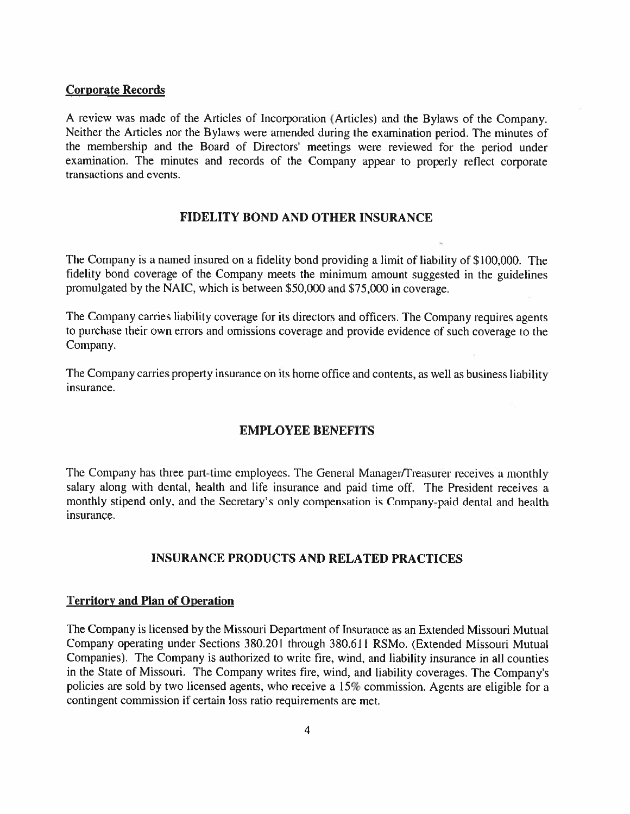### Corporate Records

<sup>A</sup> review was made of the Articles of Incorporation (Articles) and the Bylaws of the Company. Neither the Articles nor the Bylaws were amended during the examination period. The minutes of the membership and the Board of Directors' meetings were reviewed for the period under examination. The minutes and records of the Company appear to properly reflect corporate transactions and events.

### FIDELITY BOND AND OTHER INSURANCE

The Company is a named insured on a fidelity bond providing a limit of liability of \$100,000. The fidelity bond coverage of the Company meets the minimum amount suggested in the guidelines promulgated by the NA[C, which is between \$50,000 and \$75,000 in coverage.

The Company carries liability coverage for its directors and officers. The Company requires agents to purchase their own errors and omissions coverage and provide evidence of such coverage to the Company.

The Company carries property insurance on its home office and contents, as well as business liability insurance.

### EMPLOYEE BENEFITS

The Company has three part-time employees. The General Manager/Treasurer receives a monthly salary along with dental, health and life insurance and paid time off. The President receives <sup>a</sup> monthly stipend only, and the Secretary's only compensation is Company-paid dental and health insurance.

### INSURANCE PRODUCTS AND RELATED PRACTICES

### Territory and Plan of Operation

The Company is licensed by the Missouri Department of Insurance as an Extended Missouri Mutual Company operating under Sections 380.201 through 380.611 RSMo. (Extended Missouri Mutual Companies). The Company is authorized to write fire, wind, and liability insurance in all counties in the State of Missouri. The Company writes fire, wind, and liability coverages. The Companys policies are sold by two licensed agents, who receive <sup>a</sup> 15% commission. Agents are eligible for <sup>a</sup> contingent commission if certain loss ratio requirements are met.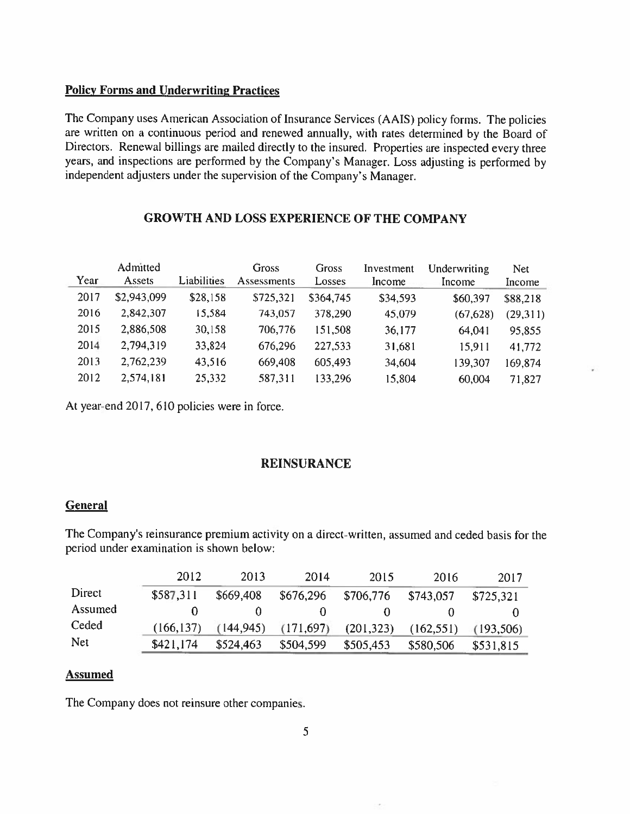### Policy Forms and Underwriting Practices

The Company uses American Association of Insurance Services (AAIS) policy forms. The policies are written on <sup>a</sup> continuous period and renewed annually, with rates determined by the Board of Directors. Renewal billings are mailed directly to the insured. Properties are inspected every three years. and inspections are performed by the Company's Manager. Loss adjusting is performed by independent adjusters under the supervision of the Company's Manager.

# Admitted Gross Gross Investment Under writing Net Year Assets Liabilities Assessments Losses Income Income Income 2017 82.943.099 828.158 8725.321 8364.745 834.593 860.397 888.218 <sup>2016</sup> 2.842.307 15.584 743,057 378.290 45.079 (67.628) (29.311) 2015 2,886,508 30.158 706,776 151.508 36177 64.041 95,855 2014 2,794,319 33,824 676.296 227,533 31,681 15,911 41,772 2013 2,762,239 43,516 669,408 605,493 34,604 139,307 169,874 2012 2,574,181 25,332 587,311 133,296 15,804 60,004 71,827

# GROWTH AND LOSS EXPERIENCE OF THE COMPANY

At year-end 2017, 610 policies were in force.

### REINSURANCE

### General

The Company's reinsurance premium activity on a direct-written, assumed and ceded basis for the period under examination is shown below:

|         | 2012       | 2013       | 2014       | 2015       | 2016       | 2017       |
|---------|------------|------------|------------|------------|------------|------------|
| Direct  | \$587.311  | \$669,408  | \$676,296  | \$706,776  | \$743.057  | \$725.321  |
| Assumed |            |            |            |            |            |            |
| Ceded   | (166, 137) | (144, 945) | (171, 697) | (201, 323) | (162, 551) | (193, 506) |
| Net     | \$421,174  | \$524,463  | \$504,599  | \$505,453  | \$580,506  | \$531,815  |

### Assumed

The Company does not reinsure other companies.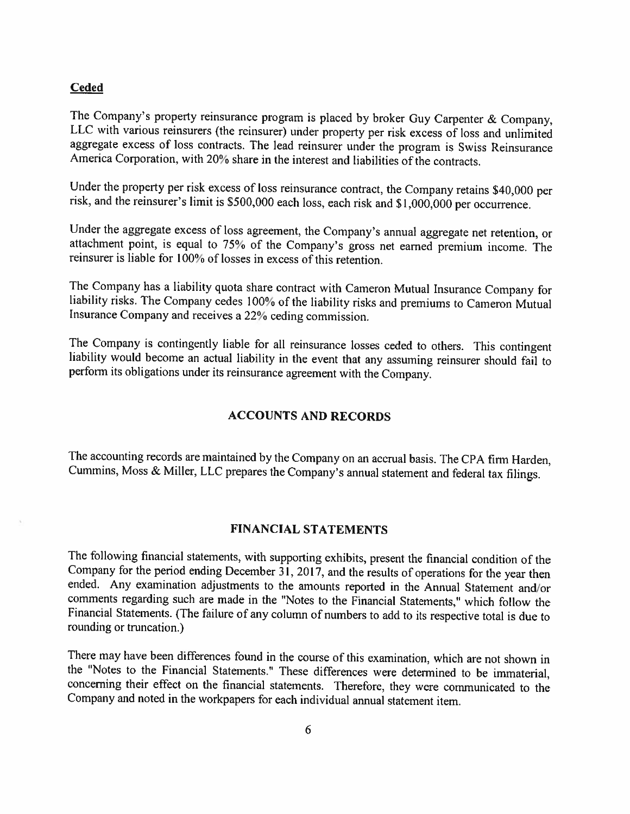#### Ceded

The Company's property reinsurance program is <sup>p</sup>laced by broker Guy Carpenter & Company, LLC with various reinsurers (the reinsurer) under property per risk excess of loss and unlimited aggregate excess of loss contracts. The lead reinsurer under the program is Swiss Reinsurance America Corporation, with 20% share in the interest and liabilities of the contracts.

Under the property per risk excess of loss reinsurance contract, the Company retains \$40,000 per risk, and the reinsurer's limit is 5500,000 each loss, each risk and \$1,000,000 per occurrence.

Under the aggregate excess of loss agreement, the Company's annual aggregate net retention, or attachment point, is equal to 75% of the Company's gross net earned premium income. The reinsurer is liable for 100% of losses in excess of this retention.

The Company has <sup>a</sup> liability quota share contract with Cameron Mutual Insurance Company for liability risks. The Company cedes 100% of the liability risks and premiums to Cameron Mutual Insurance Company and receives <sup>a</sup> 22% ceding commission.

The Company is contingently liable for all reinsurance losses ceded to others. This contingent liability would become an actual liability in the event that any assuming reinsurer should fail to perform its obligations under its reinsurance agreement with the Company.

### ACCOUNTS AND RECORDS

The accounting records are maintained by the Company on an accrual basis. The CPA firm Harden, Cummins, Moss & Miller, LLC prepares the Company's annual statement and federal tax filings.

### FINANCIAL STATEMENTS

The following financial statements, with supporting exhibits, present the financial condition of the Company for the period ending December 31, 2017, and the results of operations for the year then ended. Any examination adjustments to the amounts reported in the Annual Statement and/or comments regarding such are made in the "Notes to the Financial Statements," which follow the Financial Statements. (The failure of any column of numbers to add to its respective total is due to rounding or truncation.)

There may have been differences found in the course of this examination, which are not shown in the "Notes to the Financial Statements." These differences were determined to be immaterial, concerning their effect on the financial statements. Therefore, they were communicated to the Company and noted in the workpapers for each individual ammal statement item.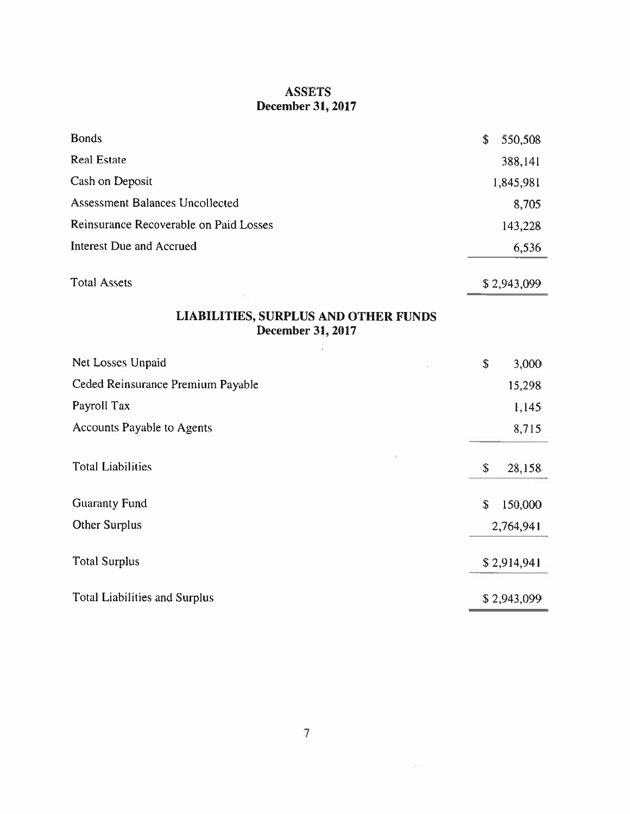# ASSETS December 31, 2017

| <b>Bonds</b>                                                            | \$          | 550,508   |
|-------------------------------------------------------------------------|-------------|-----------|
| <b>Real Estate</b>                                                      |             | 388,141   |
| Cash on Deposit                                                         |             | 1,845,981 |
| <b>Assessment Balances Uncollected</b>                                  |             | 8,705     |
| Reinsurance Recoverable on Paid Losses                                  |             | 143,228   |
| <b>Interest Due and Accrued</b>                                         |             | 6,536     |
| <b>Total Assets</b>                                                     | \$2,943,099 |           |
| <b>LIABILITIES, SURPLUS AND OTHER FUNDS</b><br><b>December 31, 2017</b> |             |           |
| Net Losses Unpaid                                                       | \$          | 3,000     |
| Ceded Reinsurance Premium Payable                                       |             | 15,298    |
| Payroll Tax                                                             |             | 1,145     |
| <b>Accounts Payable to Agents</b>                                       |             | 8,715     |
| <b>Total Liabilities</b>                                                | \$          | 28,158    |
| <b>Guaranty Fund</b>                                                    | \$          | 150,000   |
| Other Surplus                                                           | 2,764,941   |           |
| <b>Total Surplus</b>                                                    | \$2,914,941 |           |
| <b>Total Liabilities and Surplus</b>                                    | \$2,943,099 |           |

 $\mathcal{U}$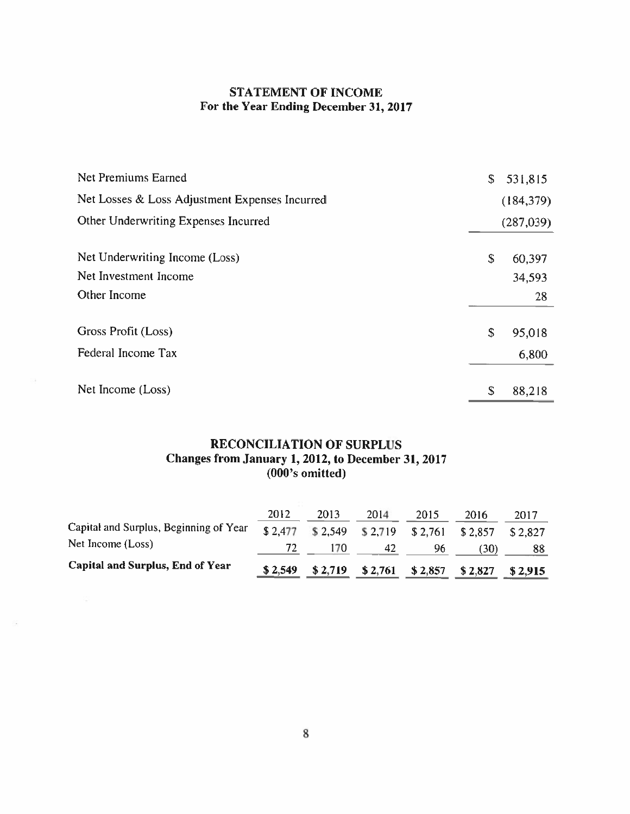# STATEMENT OF INCOME For the Year Ending December 31, 2017

| Net Premiums Earned                            | \$<br>531,815 |
|------------------------------------------------|---------------|
| Net Losses & Loss Adjustment Expenses Incurred | (184, 379)    |
| Other Underwriting Expenses Incurred           | (287,039)     |
| Net Underwriting Income (Loss)                 | \$<br>60,397  |
| Net Investment Income                          | 34,593        |
| Other Income                                   | 28            |
| Gross Profit (Loss)                            | \$<br>95,018  |
| Federal Income Tax                             | 6,800         |
| Net Income (Loss)                              | \$<br>88,218  |

### RECONCILIATION OF SURPLUS Changes from January 1,2012, to December 31, 2017 (000's omitted)

| Capital and Surplus, End of Year       | \$2,549 | \$2,719 | $$2,761$ $$2,857$          |      | \$2,827 | \$2,915 |
|----------------------------------------|---------|---------|----------------------------|------|---------|---------|
| Net Income (Loss)                      |         |         | 42                         | 96.  | [30)    | 88      |
| Capital and Surplus, Beginning of Year | \$2,477 |         | $$2,549$ $$2,719$ $$2,761$ |      | \$2.857 | \$2,827 |
|                                        | 2012    | 2013    | 2014                       | 2015 | 2016    | 2017    |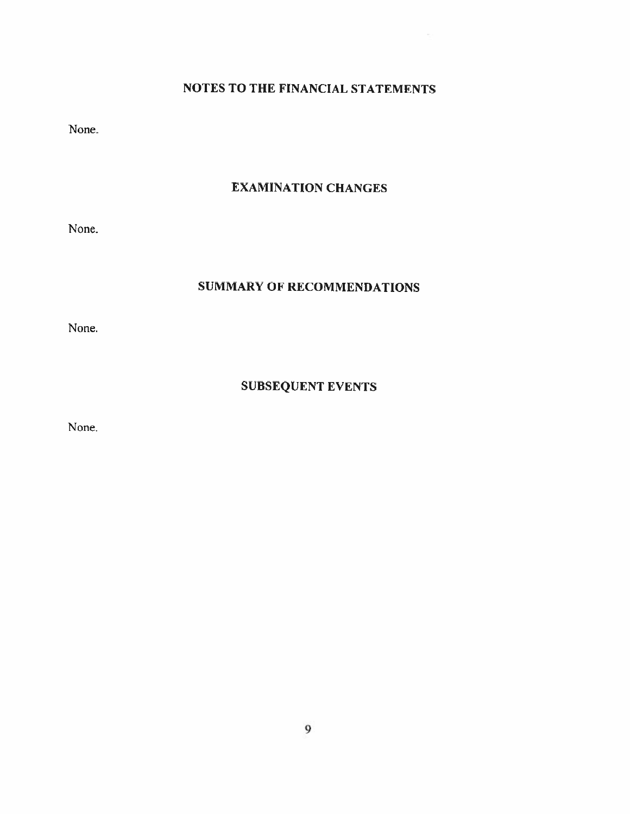# NOTES TO THE FINANCIAL STATEMENTS

None

# EXAMINATION CHANGES

None.

# SUMMARY OF RECOMMENDATIONS

None.

# SUBSEQUENT EVENTS

None.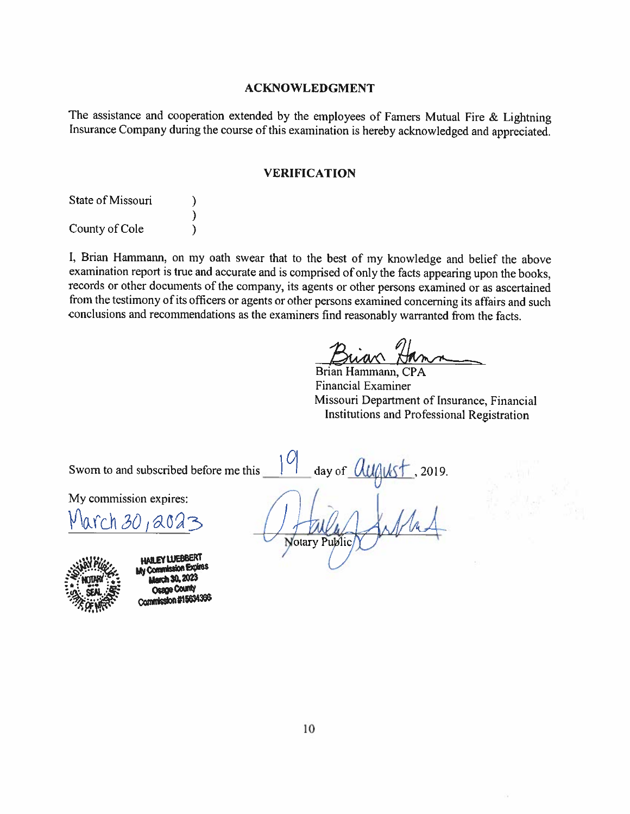### ACKNOWLEDGMENT

The assistance and cooperation extended by the employees of Famers Mutual Fire & Lightning Insurance Company during the course of this examination is hereby acknowledged and appreciated.

### VERIFICATION

| State of Missouri |  |
|-------------------|--|
|                   |  |
| County of Cole    |  |

I, Brian Hammann, on my oath swear that to the best of my knowledge and belief the above examination report is true and accurate and is comprised of only the facts appearing upon the books, records or other documents of the company. its agents or other persons examined or as ascertained from the testimony of its officers or agents or other persons examined concerning its affairs and such conclusions and recommendations as the examiners find reasonably warranted from the facts.

Brian Hammann, CPA Financial Examiner Missouri Department of Insurance, Financial Institutions and Professiona] Registration

Sworn to and subscribed before me this

My commission expires:

March 30,



**HAW EY LUEBBERT** My Commission Expires **Oesne County Commission #15634366** 

day of  $\frac{\partial u}{\partial u}$ <br> $\int_{\mathcal{A}} \frac{1}{\partial u} \int_{\mathcal{A}} \frac{1}{\partial u} \int_{\mathcal{A}}$ Notary Public